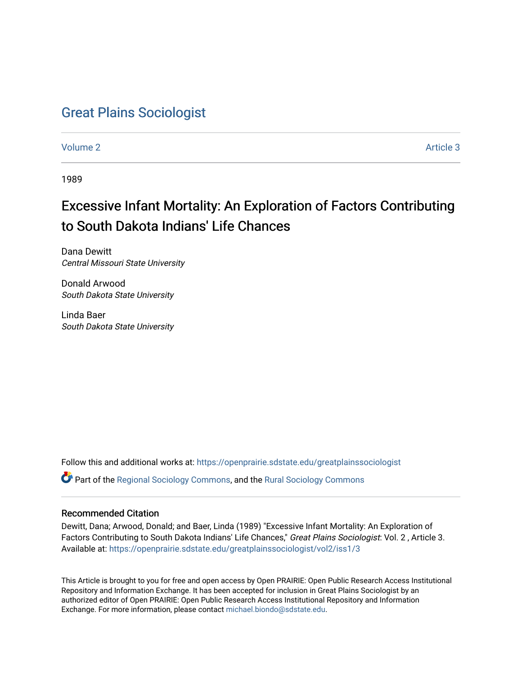# [Great Plains Sociologist](https://openprairie.sdstate.edu/greatplainssociologist)

[Volume 2](https://openprairie.sdstate.edu/greatplainssociologist/vol2) Article 3

1989

# Excessive Infant Mortality: An Exploration of Factors Contributing to South Dakota Indians' Life Chances

Dana Dewitt Central Missouri State University

Donald Arwood South Dakota State University

Linda Baer South Dakota State University

Follow this and additional works at: [https://openprairie.sdstate.edu/greatplainssociologist](https://openprairie.sdstate.edu/greatplainssociologist?utm_source=openprairie.sdstate.edu%2Fgreatplainssociologist%2Fvol2%2Fiss1%2F3&utm_medium=PDF&utm_campaign=PDFCoverPages) 

Part of the [Regional Sociology Commons](http://network.bepress.com/hgg/discipline/427?utm_source=openprairie.sdstate.edu%2Fgreatplainssociologist%2Fvol2%2Fiss1%2F3&utm_medium=PDF&utm_campaign=PDFCoverPages), and the [Rural Sociology Commons](http://network.bepress.com/hgg/discipline/428?utm_source=openprairie.sdstate.edu%2Fgreatplainssociologist%2Fvol2%2Fiss1%2F3&utm_medium=PDF&utm_campaign=PDFCoverPages) 

### Recommended Citation

Dewitt, Dana; Arwood, Donald; and Baer, Linda (1989) "Excessive Infant Mortality: An Exploration of Factors Contributing to South Dakota Indians' Life Chances," Great Plains Sociologist: Vol. 2, Article 3. Available at: [https://openprairie.sdstate.edu/greatplainssociologist/vol2/iss1/3](https://openprairie.sdstate.edu/greatplainssociologist/vol2/iss1/3?utm_source=openprairie.sdstate.edu%2Fgreatplainssociologist%2Fvol2%2Fiss1%2F3&utm_medium=PDF&utm_campaign=PDFCoverPages) 

This Article is brought to you for free and open access by Open PRAIRIE: Open Public Research Access Institutional Repository and Information Exchange. It has been accepted for inclusion in Great Plains Sociologist by an authorized editor of Open PRAIRIE: Open Public Research Access Institutional Repository and Information Exchange. For more information, please contact [michael.biondo@sdstate.edu.](mailto:michael.biondo@sdstate.edu)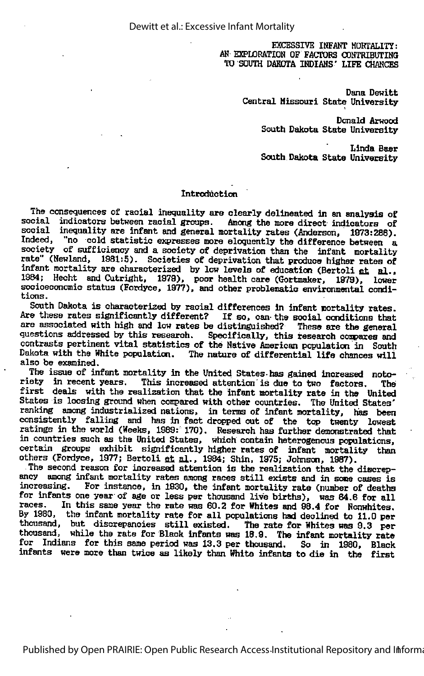EXCESSIVE INFANT HOBTALITY: AN EXPLORATION OF FACTORS CONTRIBUTING TO SOUTH DAKOTA INDIANS' LIFE CHANCES

> Dana Dewitt Central Missouri State University

> > Donald Arwood South Dakota State University

> > Linda Baer South Dakota State University

#### Introduction

The consequences of racial inequality are clearly delineated in an analysis of social indicators between racial groups. Among the more direct indicators of social inequality are infant and general mortality rates (Anderson, 1973:286). Indeed, "no cold statistic expresses more eloquently the difference between a society of sufficiency and a society of deprivation than the infant mortality rate" (Newland, 1981:5). Societies of deprivation that produce higher rates of infant mortality are characterized by low levels of education (Bertoli at al., 1984; Heoht and Outright, 1979), poor health care (Gortmaker, 1879), lower socioeconomic status (Fordyce, 1977), and other problematic environmental condi tions.

South Dakota is characterized by racial differences in infant mortality rates. Are these rates significantly different? If so, can the social conditions that are associated with high and low rates be distinguished? These are the general questions addressed by this research. Specifically, this research compares and contrasts pertinent vital statistics of the Native American population in South Dakota with the White population. The nature of differential life chances will also be examined.

The issue of infant mortality in the United States-has gained increased noto riety in recent years. This increased attention is due to two factors. The first deals with the realization that the infant mortality rate in the United States is loosing ground when compared with other countries. The United States' ranking among industrialized nations, in terms of infant mortality, has been consistently falling and has in fact dropped out of the top twenty lowest ratings in the world (Weeks, 1989: 170). Research has further demonstrated that in countries such as the United States, which contain heterogenous populations, certain groups exhibit significantly higher rates of infant mortality than others (Fordyce, 1977; Bertoli fit al., 1984; Shin, 1975; Johnson, 1987).

The second reason for increased attention is the realization that the discrepmcy among infant mortality rates among races still exists and in some cases is increasing. For instance, in 1930, the infant mortality rate (number of deaths for infants one year of age or less per thousand live births), was 84.6 for all races. In this same year the rate was 80.2 for Whites and 88.4 for Nonwhites. External and state your the rate has congreg whiless and congreg hoursmitted. thousand, but discrepancies still existed. The rate for Whites was 9.3 per thousand, while the rate for Black infants was 18.9. The infant mortality rate for Indians for this same period was 13.3 per thousand. So in 1980, Black infants were more than twice as likely than White infants to die in the first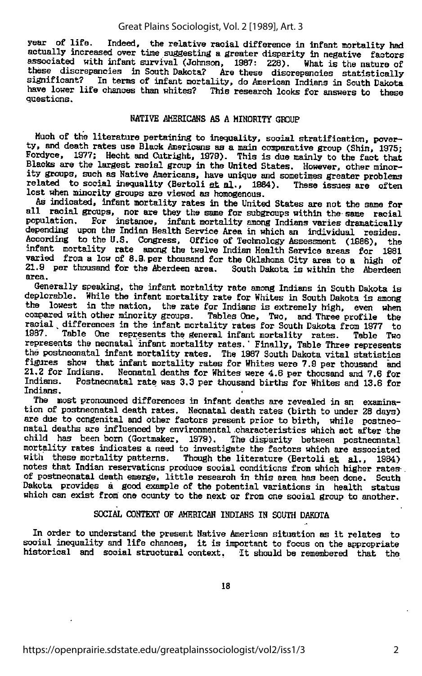#### Great Plains Sociologist, Vol. 2 [1989], Art. 3

year of life. Indeed, the relative racial difference in infant mortality had actually increased over time suggesting a greater disparity in negative factors associated with infant survival (Johnson, 1987: 228). What is the nature of these discrepancies in South Dakota? Are these discrepancies statistically significant? In terms of infant mortality, do American Indians in South Dakota have lower life chances than whites? This research looks for answers to these questions.

#### NATIVE AMERICANS AS A MINORITY GROUP

Much of the literature pertaining to inequality, social stratification, pover ty, and death rates use Black Americans as a main comparative group (Shin, 1975; Fordyce, 1977; Hecht and Outright, 1979). This is due mainly to the fact that Blacks are the largest racial group in the United States. However, other minority groups, such as Native Americans, have unique and sometimes greater problems related to social inequality (Bertoli et al., 1984). These issues are often lost when minority groups are viewed as homogenous.

As indicated, infant mortality rates in the United States are not the same for all racial groups, nor are they the same for subgroups within the same racial population. For instance, infant mortality among Indians varies dramatically depending upon the Indian Health Service Area in which an individual resides. According to the U.S. Congress, Office of Technology Assessment (1986), the infant mortality rate among the twelve Indian Health Service areas for 1981 varied from a low of 8.9 per thousand for the Oklahoma City area to a high of  $21.9$  per thousand for the Aberdeen area. South Dakota is within the Aberdeen  $21.9$  per thousand for the Aberdeen area.<br>area.

Generally speaking, the infant mortality rate among Indians in South Dakota is deplorable. While the infant mortality rate for Whites in South Dakota is among the lowest in the nation, the rate for Indians is extremely high, even when compared with other minority groups. Tables One, Two, and Three profile the racial differences in the infant mortality rates for South Dakota from 1977 to 1987. Table One represents the general infant mortality rates. Table Two Table One represents the general infant mortality rates. Table Two represents the neonatal infant mortality rates." Finally, Table Three represents the postneonatal infant mortality rates. The 1987 South Dakota vital statistics figures show that infant mortality rates for Whites were 7.9 per thousand and 2.8 for all 2.8 for 21.2 for Indians. Neonatal deaths for Whites were 4.6 per thousand and 7.6 for<br>Indians. Postneonatal rate was 3.3 per thousand births for Whites and 13.8 for Postneonatal rate was 3.3 per thousand births for Whites and 13.6 for Indians.

The most pronounced differences in infant deaths are revealed in an examina tion of postneonatal death rates. Neonatal death rates (birth to under 28 days) are due to congenital and other factors present prior to birth, while postneo natal deaths are influenced by environmental characteristics which act after the child has been bom (Gortmaker, 1979). The disparity between postneonatal mortality rates indicates a need to investigate the factors which are asscciated with these mortality patterns. Though the literature (Bertoli et al., 1984) notes that Indian reservations produce social conditions from which higher rates-. of postneonatal death emerge, little research in this area has been done. South Dakota provides a good example of the potential variations in health status which can exist from one county to the next or from one social group to another.

#### SOCIAL CONTEXT OF AMERICAN INDIANS IN SOUTH DAKOTA

In order to understand the present Native American situation as it relates to social inequality and life chances, it is important to focus on the appropriate historical and social structural context. It should be remembered that the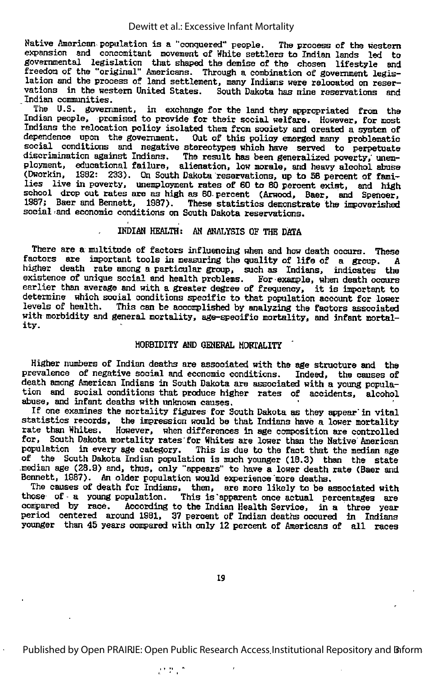Native American population is a "conquered" people. The process of the western expansion and concomitant movement of White settlers to Indian lands led to governmental legislation that shaped the demise of the chosen lifestyle and freedom of the "original" Americans. Through a combination of government legis lation and the process of land settlement, many Indians were relocated on reser vations in the western United States. South Dakota has nine reservations and .Indian communities.

The U.S. government, in exchange for the land they appropriated from the Indian people, promised to provide for their social welfare. However, for most Indians the relocation policy isolated them from society and created a system of dependence upon the government. Out of this policy emerged many problematic social conditions and negative stereotypes which have served to perpetuate discrimination against Indians. The result has been generalized poverty, unem ployment, educational failure, alienation, low morale, and heavy alcohol abuse (Dworkin, 1982: 233). On South Dakota reservations, up to 58 percent of fami lies live in poverty, unemployment rates of 80 to 80 percent exist, and high school drop out rates are as high as 80 percent (Arwood, Baer, and Spencer, school drop out rates are as high as 60 percent (Arwood, Baer, and Spencer, 1987; Baer and Bennett, 1987). These statistics demonstrate the impoverished social 'and economic conditions on South Dakota reservations.

#### INDIAN HEALTH: AN ANALYSIS OF THE DATA

There are a multitude of factors influencing when and how death occurs. These factors are important tools in measuring the quality of life of a group. A higher death rate among a particular group, such as Indians, indicates the existence of unique social and health problems. For-example, when death occurs earlier than average and with <sup>a</sup> greater degree of frequency, it is important to determine which social conditions specific to that population account for lower levels of health. This can be accomplished by analyzing the factors associated with morbidity and general mortality, age-specific mortality, and infant mortal ity.

#### MORBIDITY AND GENERAL MORTALITY

Higher numbers of Indian deaths are associated with the age structure and the prevalence of negative social and economic conditions. Indeed, the causes of death among American Indians in South Dakota are associated with a young popula tion and social conditions that produce higher rates of accidents, alcohol abuse, and infant deaths with unknown causes.

If one examines the mortality figures for South Dakota as they appear in vital statistics records, the impression would be that Indians have a lower mortality rate than Whites. However, when differences in age composition are controlled for, South Dakota mortality rates for Whites are lower than the Native American population in every age category. This is due to the fact that the median age of the South Dakota Indian population is much younger (18.3) than the state .median age (28.9) and, thus, only "appears" to tmve a lower death rate (Baer and Bennett, 1987). An older population would experience "more deaths.

The causes of death for Indians, then, are more likely to be associated with those of a young population. This is apparent once actual percentages are compared by race. According to the Indian Health Service. in a three year According to the Indian Health Service, in a three year period centered around 1981, 37 percent of Indian deaths occured in Indians younger than 45 years compared with only 12 percent of Americans of all races

19

Published by Open PRAIRIE: Open Public Research Access Institutional Repository and Biform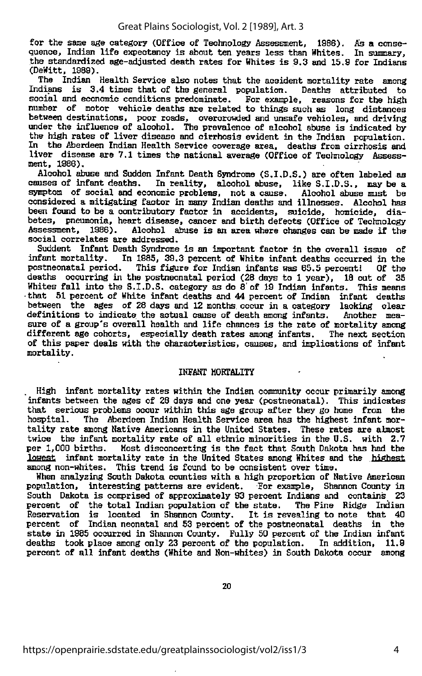for the same age category (Office of Technology Assessment, 1986). As a conse quence, Indian life expectancy is about ten years less than Whites. In summary, the standardized age-adjusted death rates for Whites is 9.3 and 15.9 for Indians (DeWitt, 1989).

The Indian Health Service also notes that the aceident mortality rate among Indians is 3.4 times that of the general population. Deaths attributed to social and economic conditions predominate. For example, reasons for the high number of motor vehicle deaths are related to things such as long distances between destinations, poor roads, overcrowded and unsafe vehicles, and driving under the influence of alcohol. The prevalence of alcohol abuse is indicated by the high rates of liver disease and cirrhosis evident in the Indian population. In the Aberdeen Indian Health Service coverage area, deaths from cirrhosis and liver disease are 7.1 times the national average (Office of Technology Assessment, 1986),

Alcohol abuse and Sudden Infant Death Syndrome (S.I.D.S.) are often labeled as causes of infant deaths. In reality, alcohol abuse, like S.I.D.S., may be a symptom of social and economic problems, not a cause. Alcohol abuse must be considered a mitigating factor in many Indian deaths and illnesses. Alcohol has been found to be a contributory factor in accidents, suicide, homicide, diabetes, pneumonia, heart disease, cancer and birth defects (Office of Technology<br>Assessment, 1986), Alcohol abuse is an area where changes can be made if the Assessment, 1986). Alcohol abuse is an area where changes can be made if the social correlates are addressed.

Suddent Infant Death Syndrome is an important factor in the overall issue of infant mortality. In 1985, 39.3 percent of White infant deaths occurred in the postneonatal period. This figure for Indian infants was 65.5 percent! Of the deaths occurring in the postneonatal period (28 days to 1 year), 18 out of 35 Whites fall into the S.I.D.S. category as do 8' of 19 Indian infants. This means •that 51 percent of White infant deaths and 44 percent of Indian infant deaths between the ages of 28 days and 12 months occur in a category lacking clear definitions to indicate the actual cause of death among infants. Another mea sure of <sup>a</sup> group's overall health and life chances is the rate of mortality among different age cohorts, especially death rates among infants. The next section of this paper deals with the characteristics, causes, and implications of infant mortality.

#### IHFANT MORTALITY

High infant mortality rates within the Indian community occur primarily among infants between the ages of 28 days and one year (postneonatal). This indicates that serious problems occur within this age group after they go home from the hospital. The Aberdeen Indian Health Service area has the highest infant mor-The Aberdeen Indian Health Service area has the highest infant mortality rate among Hative Americans in the United States. These rates are almost twice the infant mortality rate of all ethnic minorities in the U.S. with 2.7 per 1,000 births. Most disconcerting is the fact that South Dakota has had the Most disconcerting is the fact that South Dakota has had the lowest infant mortality rate in the United States among Whites and the highest among non-whites. This trend is found to be consistent over time.

When analyzing South Dakota counties with a high proportion of Hative American population, interesting patterns are evident. For example. Shannon County in South Dakota is comprised of approximately 93 percent Indians and contains 23 percent of the total Indian population of the state. The Pine Ridge Indian<br>Reservation is located in Shannon County. It is revealing to note that 40 percent of Indian neonatal and 53 percent of the postneonatal deaths in the state in 1985 occurred in Shannon County. Fully 50 percent of the Indian infant deaths took place among only 23 percent of the population. In addition, percent of all infant deaths (White and Hon-whites) in South Dakota occur among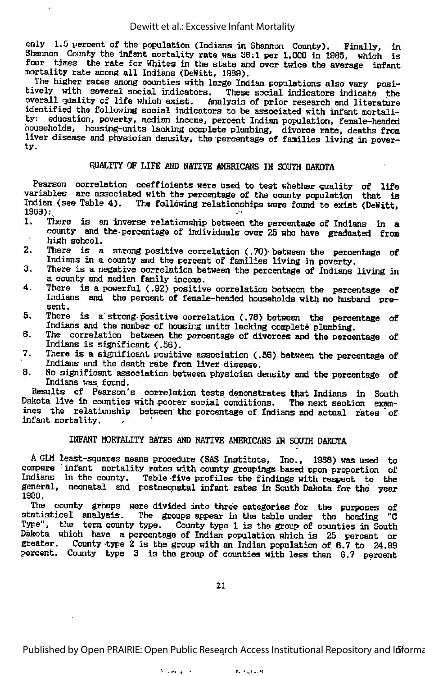only 1.5 percent of the population (Indians in Shannon County). Finally, in Shannon County the infant mortality rate was 36:1 per 1,000 in 1985, which is four times the rate for Whites in the state and over twice the average infant mortality rate among all Indians (DeWitt, 1989).

The higher rates among counties with large Indian populations also vary posi tively with several social indicators. These social indicators indicate the overall quality of life which exist. Analysis of prior research and literature identified the following social indicators to be associated with infant mortali education, poverty, median income, percent Indian population, female-headed households, housing-units lacking complete plumbing, divorce rate, deaths from liver disease and physician density, the percentage of families living in pover ty.

#### QUALITY OF LIFE AND NATIVE AMERICANS IN SOUIM DAKOTA

Pearson correlation coefficients were used to test whether quality of life variables are associated with the percentage of the county population that is Indian (see Table 4). The following relationships were found to exist (DeWitt, 1989):<br>1. T

- There is an inverse relationship between the percentage of Indians in a county and the-percentage of individuals over 25 who have graduated from  $\overline{\phantom{a}}$ high school.
- 2. There is a strong positive correlation (.70) between the percentage of Indians in a county and the percent of families living in poverty. 3. There is <sup>a</sup> negative correlation between the percentage of Indians living in
- a county and median family income.
- 4. There is a powerful (.92) positive correlation between the percentage of Indians and the percent of female-headed households with no husband pre sent.
- 5. There is a strong-positive correlation (.78) between the percentage of Indians and the number of housing units lacking complete plumbing.
- 6. The correlation between the percentage of divorces and the percentage of Indians is significant (.56).
- 7. There is a significant positive association (.56) between the percentage of Indians and the death rate from liver disease.
- $8.$  No significant association between physician density and the percentage of Indians was found.

Results of Pearson's correlation tests demonstrates that Indians in South Dakota live in counties with poorer social conditions. The next section examines the relationship between the percentage of Indians and actual fates of infant mortality.

#### INFANT HOBTALITY RATES AND NATIVE AMERICANS IN SOUTH DAKOTA

A GLH least-squares means procedure (SAS Institute, Inc., 1988) was used to compare infant mortality rates with county groupings based upon proportion of Indians in the county. Table five profiles the findings with respect to the general, neonatal and postneonatal infant rates in South Dakota for the year 1980.

The county groups were divided into three categories for the purposes of statistical analysis. The groups appear in the table under the heading "C Type", the term county type. County type 1 is the group of counties in South Dakota which have a percentage of Indian population which is 25 percent or greater. County type 2 is the group with an Indian population of 6.7 to 24.99 County type 2 is the group with an Indian population of  $6.7$  to  $24.99$ percent. County type 3 is the group of counties with less than 6.7 percent

21

Published by Open PRAIRIE: Open Public Research Access Institutional Repository and Informa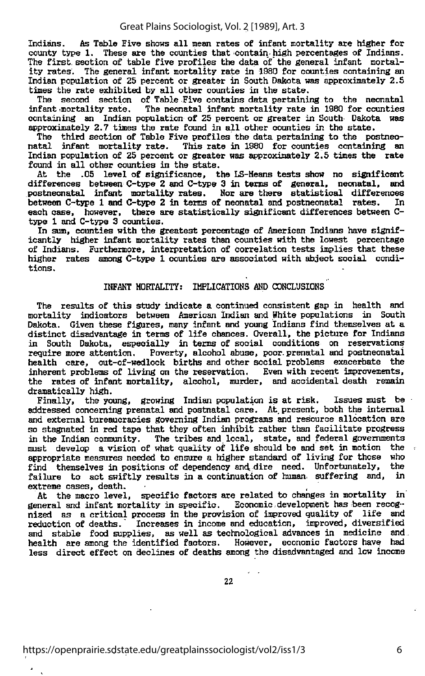Indians. As Table Five shows all mean rates of infant mortality are higher for county type 1. These are the counties that contain-high percentages of Indians. The first section of table five profiles the data of the general infant mortal ity rates. The general infant mortality rate in 1980 for counties containing an Indian population of 25 percent or greater in South Dakota was approximately 2.5 times the rate exhibited by all other counties in the state.

The second section of Table Five contains data pertaining to the neonatal infant mortality rate. The neonatal infant mortality rate in 1980 for counties The neonatal infant mortality rate in 1980 for counties containing an Indian population of 25 percent or greater in South Dakota was approximately 2.7 times the rate found in all other counties in the state.

The third section of Table Five profiles the data pertaining to the postneonatal infant mortality rate. This rate in 1980 for counties containing an Indian population of 25 percent cr greater was approximately 2.5 times the rate found in all other counties in the state.

At the .05 level of significance, the LS-Heans tests show no significant differences between C-type 2 and C-type 3 in terms of general, neonatal, and postneonatsd. infant mortality rates. Nor are there statistical differences between C-type <sup>1</sup> and C-type <sup>2</sup> in terms of neonatal and pcstneonatal rates. In each case, however, there are statistically significant differences between Ctype 1 and C-type 3 counties.

In sum, counties with the greatest percentage of American Indians have signif icantly higher infant mortality rates than counties with the lowest percentage of Indians. Furthermore, interpretation of correlation tests implies that these higher rates among C-type 1 counties are associated with abject social condi tions.

#### INFANT MORTALITY: IMPLICATIONS AND CONCLUSIONS

The results of this study indicate a continued consistent gap in health and mortality indicators between American Indian and White populations in South Dakota. Given these figures, many infant and young Indians find themselves at <sup>a</sup> distinct disadvantage in terms of life chances. Overall, the picture for Indians in South Dakota, especially in terms of social conditions on reservations require more attention. Poverty, alcohol abuse, poor.prenatal and postneonatai health care, out-of-wedlock births and other social problems exacerbate the inherent problems of living on the reservation. Even with recent improvements, the rates of infant mortality, alcohol, murder, and accidental death remain dramatically high.

Finally, the young, growing Indian population is at risk. Issues must be addressed concerning prenatal and postnatal care. At. present, both the internal and external bureaucracies governing Indian programs and resource allocation are so stagnated in red tape that they often inhibit rather than facilitate progress in the Indian community. The tribes and local, state, and federal governments must develop a vision of what quality of life should be and set in motion the appropriate measures needed to ensure a higher standard of living for those who find themselves in positions of dependency and dire need. Unfortunately, the failure to act swiftly results in a continuation of human, suffering and, in extreme cases, death.

At the macro level, specific factors are related to changes in mortality in general and infant mortality in specific. Economic-development has been recog nized as a critical process in the provision of improved quality of life and reduction of deaths. Increases in income and education, improved, diversified and stable food supplies, as well as technological advances in medicine and health are among the identified factors. However, economic factors have had less direct effect on declines of deaths among the disadvantaged and low income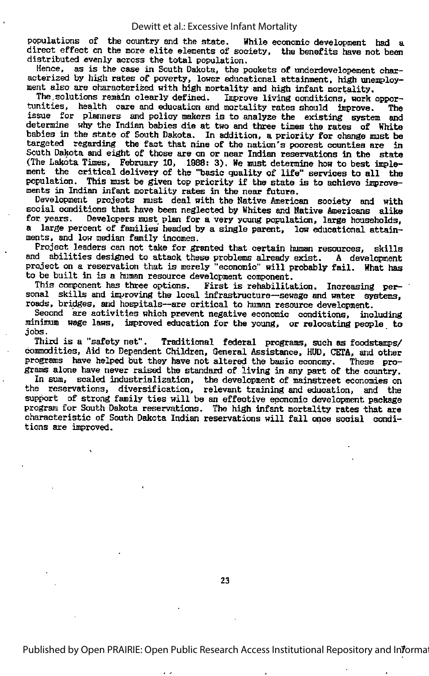#### Dewitt et al.: Excessive Infant Mortality

populations of the country and the state. While economic development had a direct effect on the more elite elements of society, the benefits have not been distributed evenly across the total population.

Hence, as is the case in South Dakota, the pockets of underdevelopement char acterized by high rates of poverty, lower educational attainment, high unemploy ment also are characterized with high mortality and high infant mortality.

The solutions remain clearly defined. Improve living conditions, work opportunities, health care and education and mortality rates should improve. The tunities, health care and education and mortality rates should improve. The issue for planners and policy makers is to analyze the existing system and determine why the Indian babies die at two and three times the rates of White babies in the state of South Dakota. In addition, a priority for change must be targeted regarding the fact that nine of the nation's poorest counties are in South Dakota and eight of those are on or near Indian reservations in the state (The Dakota Times, February 10, 1988: 3). We must determine how to best imple ment the critical delivery of the "basic quality of life" services to all the population. This must be given top priority if the state is to achieve improve-ments in Indian infant mortality rates in the near future.

Development projects must deal with the Native American society and with social conditions that have been neglected by Whites and Native Americans alike<br>for years. Developers must plan for a very young population, large households, a large percent of families headed by a single parent, low educational attainments, and low median family incomes.

Project leaders can not take for granted that certain human resources, skills and abilities designed to attack these problems already exist. A development project on a reservation that is merely "economic" will probably fail. What has to be built in is a human resource development component.

This component has three options. First is rehabilitation. Increasing per sonal skills and improving the local infrastructure-sewage and water systems, roads, bridges, and hospitals--are critical to human resource development.

Second are activities which prevent negative economic conditions, including minimum wage laws, improved education for the young, or relocating people to jobs.<br>Third is a "safety net".

Traditional federal programs, such as foodstamps/ commodities. And to Dependent Children, General Assistance, HUD, (JETA, and other programs have helped but they have not altered the basic economy. These progranis alone have never raised the standard of living in any part of the country.

In sum, scaled industrialization, the development of mainstreet economies on the reservations, diversification, relevant training and education, and the support of strong family ties will be an effective economic development package program for South Dakota reservations. The high infant mortality rates that are characteristic of South Dakota Indian reservations will fall once social condi tions are improved.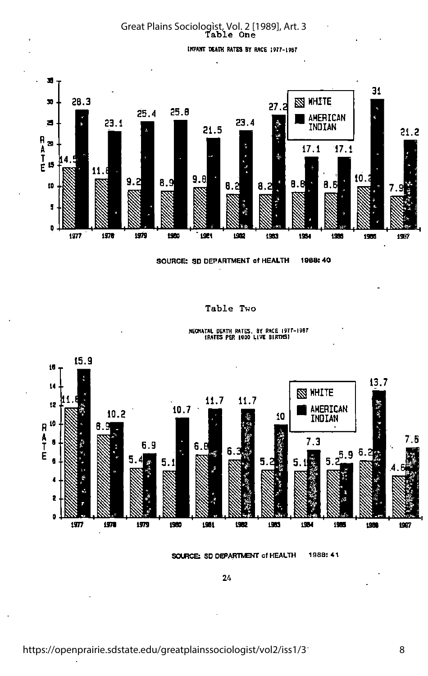Great Plains Sociologist, Vol. 2 [1989], Art. 3<br>Table One

inFurr death rates by race I9r7-i9sr



SOURCE: SD DEPARTMENT of HEALTH 1968:40

Table Two



neonatal death rates, by race l9Tr-l90T (RATES PER 1000 LIVE Elimfil

SOURCE: SD DEPARTMENT of HEALTH 1988: 41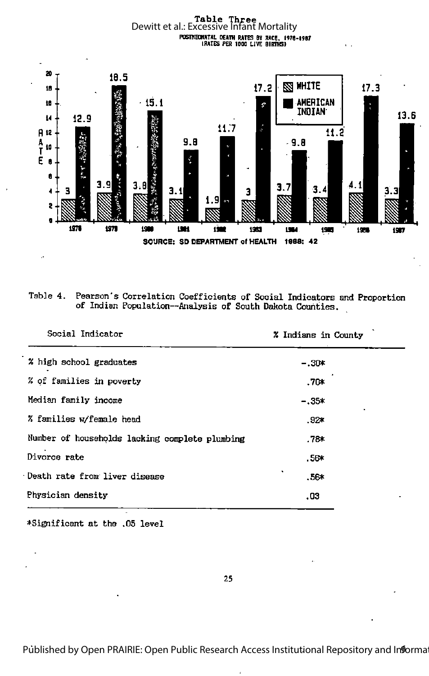Table Three<br>Dewitt et al.: Excessive Infant Mortality 



| Table 4. Pearson's Correlation Coefficients of Social Indicators and Proportion |
|---------------------------------------------------------------------------------|
| of Indian Population--Analysis of South Dakota Counties.                        |

| Social Indicator                               | % Indians in County |  |
|------------------------------------------------|---------------------|--|
| % high school graduates                        | $-.30*$             |  |
| % of families in poverty                       | ∗70.                |  |
| Median family income                           | $-.35*$             |  |
| % families w/female head                       | .92*                |  |
| Number of households lacking complete plumbing | .78≭                |  |
| Divorce rate                                   | $.56*$              |  |
| Death rate from liver disease                  | $.56*$              |  |
| Physician density                              | .03                 |  |
|                                                |                     |  |

\*Significant at the .05 level

Published by Open PRAIRIE: Open Public Research Access Institutional Repository and Informa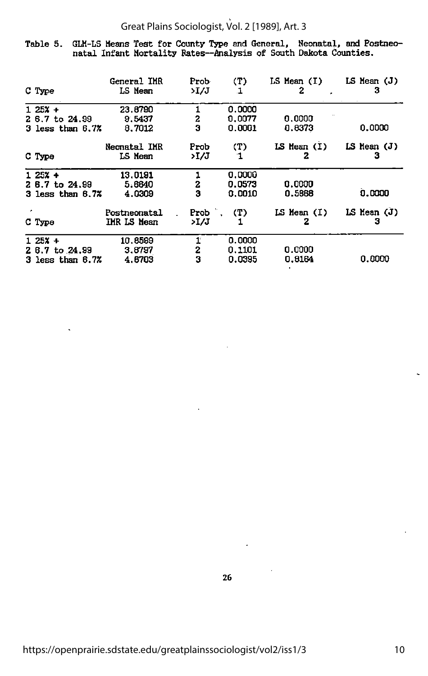## Great Plains Sociologist, Vol. 2 [1989], Art. 3

Table 5. GLM-LS Means Test for County Type and General, Neonatal, and Postneonatal Infant Mortality Bates—Analysis of South Dakota Counties.

|   | C Type                                                | General IMR<br>LS Mean      | Prob-<br>>I/J          | (T)<br>1                   | $LS$ Mean $(I)$<br>2 | LS Mean (J)<br>з     |
|---|-------------------------------------------------------|-----------------------------|------------------------|----------------------------|----------------------|----------------------|
|   | $125x +$<br>2 6.7 to 24.99<br>$3$ less than $6.7%$    | 23.8790<br>9.5437<br>8,7012 | 2<br>3                 | 0.0000<br>0.0077<br>0.0001 | 0.0000<br>0.8373     | 0.0000               |
|   | C Type                                                | Neonatal IMR<br>LS Mean     | Prob<br>>I /J          | (T)<br>-1                  | $LS$ Mean $(I)$<br>2 | $LS$ Hean $(J)$<br>3 |
|   | $125% +$<br>$26.7$ to $24.99$<br>$3$ less than $6.72$ | 13.0191<br>5.6640<br>4.0309 | 1<br>2<br>3            | 0.0000<br>0.0573<br>0.0010 | 0.0000<br>0.5868     | 0.0000               |
| ٠ | C Type                                                | Postneonatal<br>IMR LS Mean | Prob $(T)$<br>>I/J     | 1                          | LS Mean (I)<br>2     | LS Mean (J)<br>з     |
|   | $125x +$<br>2 6.7 to 24.99<br>3 less than 6.7%        | 10.8599<br>3.8797<br>4.6703 | 1<br>$\mathbf{z}$<br>3 | 0.0000<br>0.1101<br>0.0395 | 0.0000<br>0.8164     | 0.0000               |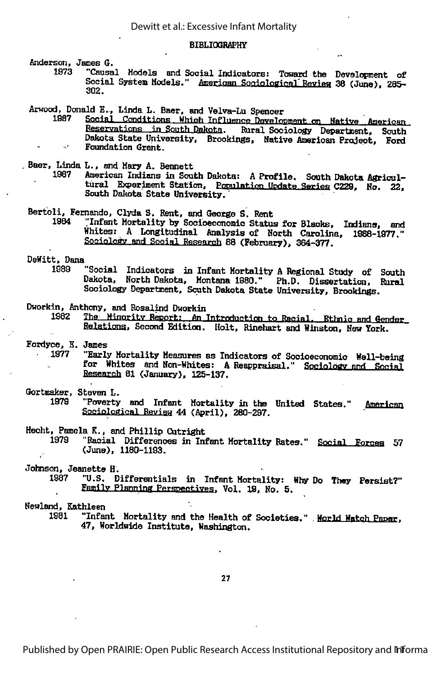#### **BIBLIOGRAPHY**

Anderson, James G.

"Causal Models and Social Indicators: Toward the Development of 1973 Social System Models." American Sociological Review 38 (June), 285-302.

Arwood, Donald E., Linda L. Baer, and Velva-Lu Spencer

1987 Social Conditions Which Influence Development on Native American Reservations in South Dakota. Rural Sociology Department, South Dakota State University, Brookings, Native American Project, Ford Foundation Grant.

Baer, Linda L., and Mary A. Bennett

1987 American Indians in South Dakota: A Profile. South Dakota Agricultural Experiment Station, Population Update Series C229, No. 22, South Dakota State University.

Bertoli, Fernando, Clyda S. Rent, and George S. Rent

"Infant Mortality by Socioeconomic Status for Blacks, Indians, and 1984 Whites: A Longitudinal Analysis of North Carolina, 1988-1977. Sociology and Social Research 88 (February), 364-377.

DeWitt, Dana

"Social Indicators in Infant Mortality A Regional Study of South 1989 Dakota, North Dakota, Montana 1980." Ph.D. Dissertation, Rural Sociology Department, South Dakota State University, Brookings.

Dworkin, Anthony, and Rosalind Dworkin

The Minority Report: An Introduction to Racial, Ethnic and Gender 1982 Relations, Second Edition. Holt, Rinehart and Winston, New York.

Fordyce, E. James

- 1977 "Early Mortality Measures as Indicators of Socioeconomic Well-being for Whites and Non-Whites: A Reappraisal." Sociology and Social Research 61 (January), 125-137.
- Gortmaker, Steven L.
	- "Poverty and Infant Mortality in the United States." American 1979 Sociological Review 44 (April), 280-297.

Hecht, Pamela K., and Phillip Cutright

1979 "Racial Differences in Infant Mortality Rates." Social Forces 57 (June), 1180-1193.

Johnson, Jeanette H.

1987 "U.S. Differentials in Infant Mortality: Why Do They Persist?" Family Planning Perspectives, Vol. 19, No. 5.

Newland, Kathleen

"Infant Mortality and the Health of Societies." Morld Watch Paper, 1981 47, Worldwide Institute, Washington.